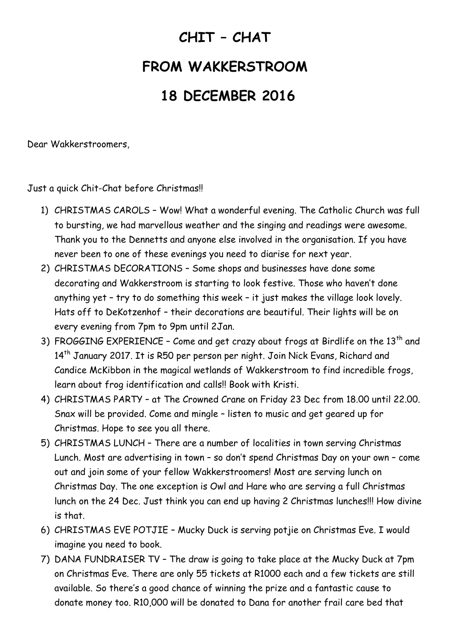## **CHIT – CHAT FROM WAKKERSTROOM 18 DECEMBER 2016**

Dear Wakkerstroomers,

Just a quick Chit-Chat before Christmas!!

- 1) CHRISTMAS CAROLS Wow! What a wonderful evening. The Catholic Church was full to bursting, we had marvellous weather and the singing and readings were awesome. Thank you to the Dennetts and anyone else involved in the organisation. If you have never been to one of these evenings you need to diarise for next year.
- 2) CHRISTMAS DECORATIONS Some shops and businesses have done some decorating and Wakkerstroom is starting to look festive. Those who haven't done anything yet – try to do something this week – it just makes the village look lovely. Hats off to DeKotzenhof – their decorations are beautiful. Their lights will be on every evening from 7pm to 9pm until 2Jan.
- 3) FROGGING EXPERIENCE Come and get crazy about frogs at Birdlife on the 13<sup>th</sup> and 14<sup>th</sup> January 2017. It is R50 per person per night. Join Nick Evans, Richard and Candice McKibbon in the magical wetlands of Wakkerstroom to find incredible frogs, learn about frog identification and calls!! Book with Kristi.
- 4) CHRISTMAS PARTY at The Crowned Crane on Friday 23 Dec from 18.00 until 22.00. Snax will be provided. Come and mingle – listen to music and get geared up for Christmas. Hope to see you all there.
- 5) CHRISTMAS LUNCH There are a number of localities in town serving Christmas Lunch. Most are advertising in town – so don't spend Christmas Day on your own – come out and join some of your fellow Wakkerstroomers! Most are serving lunch on Christmas Day. The one exception is Owl and Hare who are serving a full Christmas lunch on the 24 Dec. Just think you can end up having 2 Christmas lunches!!! How divine is that.
- 6) CHRISTMAS EVE POTJIE Mucky Duck is serving potjie on Christmas Eve. I would imagine you need to book.
- 7) DANA FUNDRAISER TV The draw is going to take place at the Mucky Duck at 7pm on Christmas Eve. There are only 55 tickets at R1000 each and a few tickets are still available. So there's a good chance of winning the prize and a fantastic cause to donate money too. R10,000 will be donated to Dana for another frail care bed that